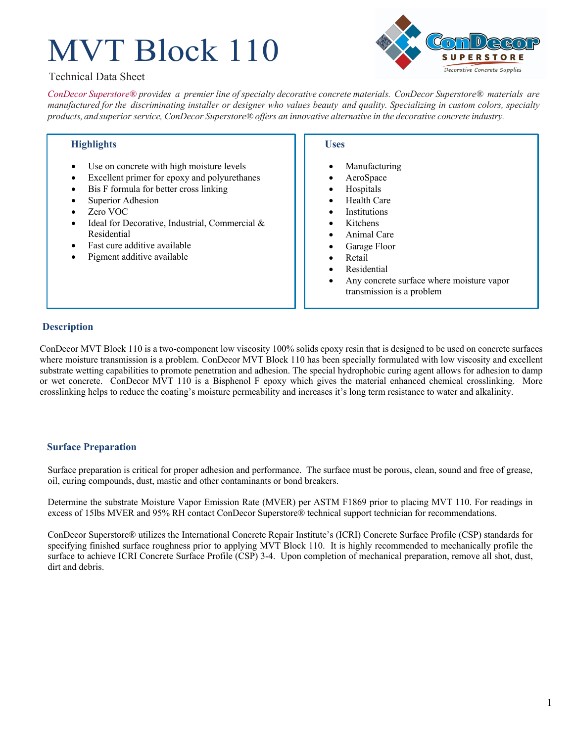# MVT Block 110



# Technical Data Sheet

*ConDecor Superstore® provides a premier line of specialty decorative concrete materials. ConDecor Superstore® materials are*  manufactured for the discriminating installer or designer who values beauty and quality. Specializing in custom colors, specialty *products, and superior service, ConDecor Superstore® offers an innovative alternative in the decorative concrete industry.*

# **Highlights**

- Use on concrete with high moisture levels
- Excellent primer for epoxy and polyurethanes
- Bis F formula for better cross linking
- Superior Adhesion
- Zero VOC
- Ideal for Decorative, Industrial, Commercial & Residential
- Fast cure additive available
- Pigment additive available

## **Uses**

- **Manufacturing**
- AeroSpace
- **Hospitals**
- Health Care
- **Institutions**
- **Kitchens**
- Animal Care
- Garage Floor
- **Retail**
- **Residential**
- Any concrete surface where moisture vapor transmission is a problem

# **Description**

ConDecor MVT Block 110 is a two-component low viscosity 100% solids epoxy resin that is designed to be used on concrete surfaces where moisture transmission is a problem. ConDecor MVT Block 110 has been specially formulated with low viscosity and excellent substrate wetting capabilities to promote penetration and adhesion. The special hydrophobic curing agent allows for adhesion to damp or wet concrete. ConDecor MVT 110 is a Bisphenol F epoxy which gives the material enhanced chemical crosslinking. More crosslinking helps to reduce the coating's moisture permeability and increases it's long term resistance to water and alkalinity.

## **Surface Preparation**

Surface preparation is critical for proper adhesion and performance. The surface must be porous, clean, sound and free of grease, oil, curing compounds, dust, mastic and other contaminants or bond breakers.

Determine the substrate Moisture Vapor Emission Rate (MVER) per ASTM F1869 prior to placing MVT 110. For readings in excess of 15lbs MVER and 95% RH contact ConDecor Superstore® technical support technician for recommendations.

ConDecor Superstore® utilizes the International Concrete Repair Institute's (ICRI) Concrete Surface Profile (CSP) standards for specifying finished surface roughness prior to applying MVT Block 110. It is highly recommended to mechanically profile the surface to achieve ICRI Concrete Surface Profile (CSP) 3-4. Upon completion of mechanical preparation, remove all shot, dust, dirt and debris.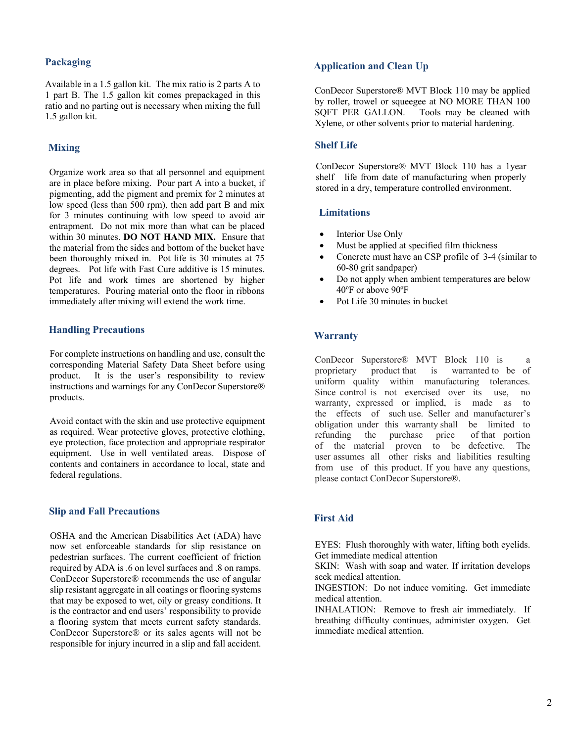## **Packaging**

Available in a 1.5 gallon kit. The mix ratio is 2 parts A to 1 part B. The 1.5 gallon kit comes prepackaged in this ratio and no parting out is necessary when mixing the full 1.5 gallon kit.

## **Mixing**

Organize work area so that all personnel and equipment are in place before mixing. Pour part A into a bucket, if pigmenting, add the pigment and premix for 2 minutes at low speed (less than 500 rpm), then add part B and mix for 3 minutes continuing with low speed to avoid air entrapment. Do not mix more than what can be placed within 30 minutes. **DO NOT HAND MIX.** Ensure that the material from the sides and bottom of the bucket have been thoroughly mixed in. Pot life is 30 minutes at 75 degrees. Pot life with Fast Cure additive is 15 minutes. Pot life and work times are shortened by higher temperatures. Pouring material onto the floor in ribbons immediately after mixing will extend the work time.

## **Handling Precautions**

For complete instructions on handling and use, consult the corresponding Material Safety Data Sheet before using product. It is the user's responsibility to review instructions and warnings for any ConDecor Superstore® products.

Avoid contact with the skin and use protective equipment as required. Wear protective gloves, protective clothing, eye protection, face protection and appropriate respirator equipment. Use in well ventilated areas. Dispose of contents and containers in accordance to local, state and federal regulations.

#### **Slip and Fall Precautions**

OSHA and the American Disabilities Act (ADA) have now set enforceable standards for slip resistance on pedestrian surfaces. The current coefficient of friction required by ADA is .6 on level surfaces and .8 on ramps. ConDecor Superstore® recommends the use of angular slip resistant aggregate in all coatings or flooring systems that may be exposed to wet, oily or greasy conditions. It is the contractor and end users' responsibility to provide a flooring system that meets current safety standards. ConDecor Superstore® or its sales agents will not be responsible for injury incurred in a slip and fall accident.

## **Application and Clean Up**

ConDecor Superstore® MVT Block 110 may be applied by roller, trowel or squeegee at NO MORE THAN 100<br>SQFT PER GALLON. Tools may be cleaned with Tools may be cleaned with Xylene, or other solvents prior to material hardening.

### **Shelf Life**

ConDecor Superstore® MVT Block 110 has a 1year shelf life from date of manufacturing when properly stored in a dry, temperature controlled environment.

#### **Limitations**

- Interior Use Only
- Must be applied at specified film thickness
- Concrete must have an CSP profile of 3-4 (similar to 60-80 grit sandpaper)
- Do not apply when ambient temperatures are below 40ºF or above 90ºF
- Pot Life 30 minutes in bucket

## **Warranty**

ConDecor Superstore® MVT Block 110 is a proprietary product that is warranted to be of uniform quality within manufacturing tolerances. Since control is not exercised over its use, no warranty, expressed or implied, is made as to the effects of such use. Seller and manufacturer's obligation under this warranty shall be limited to refunding the purchase price of that portion of the material proven to be defective. The user assumes all other risks and liabilities resulting from use of this product. If you have any questions, please contact ConDecor Superstore®.

## **First Aid**

EYES: Flush thoroughly with water, lifting both eyelids. Get immediate medical attention

SKIN: Wash with soap and water. If irritation develops seek medical attention.

INGESTION: Do not induce vomiting. Get immediate medical attention.

INHALATION: Remove to fresh air immediately. If breathing difficulty continues, administer oxygen. Get immediate medical attention.